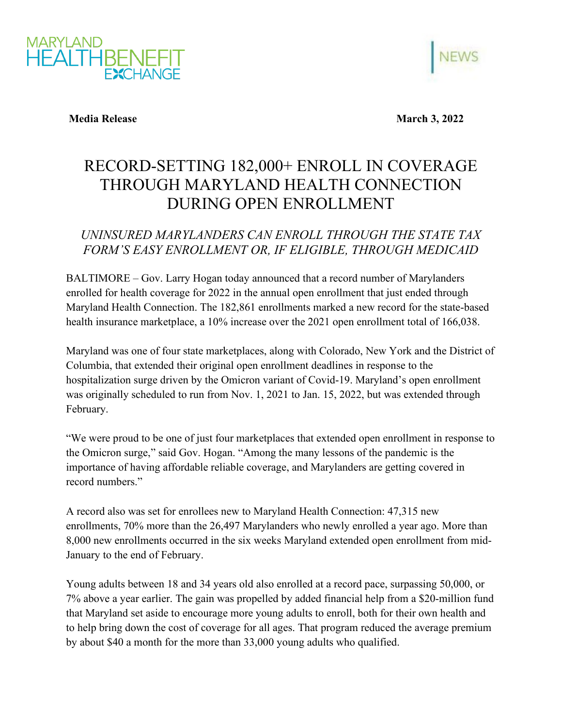



**Media Release March 3, 2022** 

## RECORD-SETTING 182,000+ ENROLL IN COVERAGE THROUGH MARYLAND HEALTH CONNECTION DURING OPEN ENROLLMENT

## *UNINSURED MARYLANDERS CAN ENROLL THROUGH THE STATE TAX FORM'S EASY ENROLLMENT OR, IF ELIGIBLE, THROUGH MEDICAID*

BALTIMORE – Gov. Larry Hogan today announced that a record number of Marylanders enrolled for health coverage for 2022 in the annual open enrollment that just ended through Maryland Health Connection. The 182,861 enrollments marked a new record for the state-based health insurance marketplace, a 10% increase over the 2021 open enrollment total of 166,038.

Maryland was one of four state marketplaces, along with Colorado, New York and the District of Columbia, that extended their original open enrollment deadlines in response to the hospitalization surge driven by the Omicron variant of Covid-19. Maryland's open enrollment was originally scheduled to run from Nov. 1, 2021 to Jan. 15, 2022, but was extended through February.

"We were proud to be one of just four marketplaces that extended open enrollment in response to the Omicron surge," said Gov. Hogan. "Among the many lessons of the pandemic is the importance of having affordable reliable coverage, and Marylanders are getting covered in record numbers."

A record also was set for enrollees new to Maryland Health Connection: 47,315 new enrollments, 70% more than the 26,497 Marylanders who newly enrolled a year ago. More than 8,000 new enrollments occurred in the six weeks Maryland extended open enrollment from mid-January to the end of February.

Young adults between 18 and 34 years old also enrolled at a record pace, surpassing 50,000, or 7% above a year earlier. The gain was propelled by added financial help from a \$20-million fund that Maryland set aside to encourage more young adults to enroll, both for their own health and to help bring down the cost of coverage for all ages. That program reduced the average premium by about \$40 a month for the more than 33,000 young adults who qualified.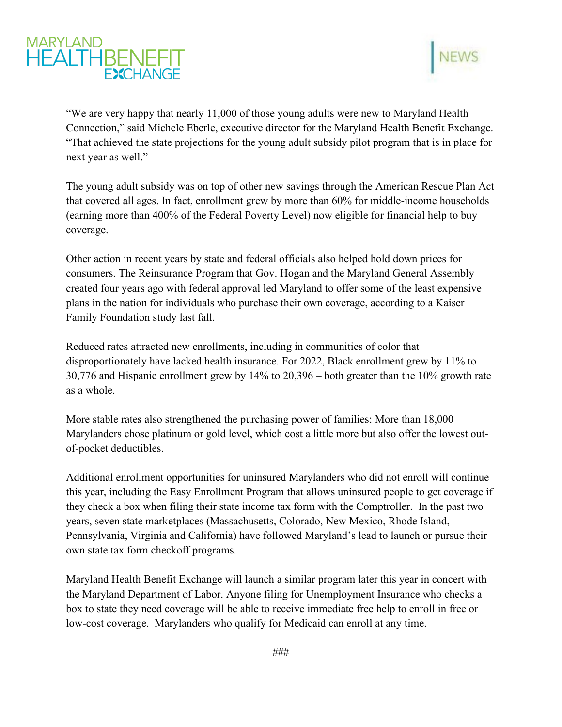



"We are very happy that nearly 11,000 of those young adults were new to Maryland Health Connection," said Michele Eberle, executive director for the Maryland Health Benefit Exchange. "That achieved the state projections for the young adult subsidy pilot program that is in place for next year as well."

The young adult subsidy was on top of other new savings through the American Rescue Plan Act that covered all ages. In fact, enrollment grew by more than 60% for middle-income households (earning more than 400% of the Federal Poverty Level) now eligible for financial help to buy coverage.

Other action in recent years by state and federal officials also helped hold down prices for consumers. The Reinsurance Program that Gov. Hogan and the Maryland General Assembly created four years ago with federal approval led Maryland to offer some of the least expensive plans in the nation for individuals who purchase their own coverage, according to a Kaiser Family Foundation study last fall.

Reduced rates attracted new enrollments, including in communities of color that disproportionately have lacked health insurance. For 2022, Black enrollment grew by 11% to 30,776 and Hispanic enrollment grew by 14% to 20,396 – both greater than the 10% growth rate as a whole.

More stable rates also strengthened the purchasing power of families: More than 18,000 Marylanders chose platinum or gold level, which cost a little more but also offer the lowest outof-pocket deductibles.

Additional enrollment opportunities for uninsured Marylanders who did not enroll will continue this year, including the Easy Enrollment Program that allows uninsured people to get coverage if they check a box when filing their state income tax form with the Comptroller. In the past two years, seven state marketplaces (Massachusetts, Colorado, New Mexico, Rhode Island, Pennsylvania, Virginia and California) have followed Maryland's lead to launch or pursue their own state tax form checkoff programs.

Maryland Health Benefit Exchange will launch a similar program later this year in concert with the Maryland Department of Labor. Anyone filing for Unemployment Insurance who checks a box to state they need coverage will be able to receive immediate free help to enroll in free or low-cost coverage. Marylanders who qualify for Medicaid can enroll at any time.